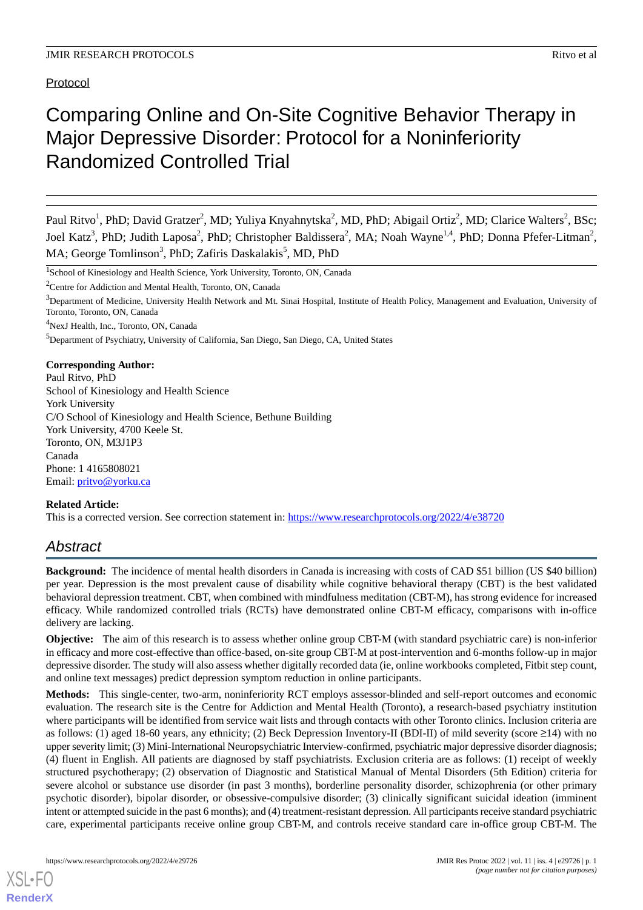Protocol

# Comparing Online and On-Site Cognitive Behavior Therapy in Major Depressive Disorder: Protocol for a Noninferiority Randomized Controlled Trial

<sup>1</sup>School of Kinesiology and Health Science, York University, Toronto, ON, Canada

<sup>2</sup>Centre for Addiction and Mental Health, Toronto, ON, Canada

<sup>4</sup>NexJ Health, Inc., Toronto, ON, Canada

<sup>5</sup>Department of Psychiatry, University of California, San Diego, San Diego, CA, United States

#### **Corresponding Author:**

Paul Ritvo, PhD School of Kinesiology and Health Science York University C/O School of Kinesiology and Health Science, Bethune Building York University, 4700 Keele St. Toronto, ON, M3J1P3 Canada Phone: 1 4165808021 Email: [pritvo@yorku.ca](mailto:pritvo@yorku.ca)

#### **Related Article:**

This is a corrected version. See correction statement in: <https://www.researchprotocols.org/2022/4/e38720>

# *Abstract*

**Background:** The incidence of mental health disorders in Canada is increasing with costs of CAD \$51 billion (US \$40 billion) per year. Depression is the most prevalent cause of disability while cognitive behavioral therapy (CBT) is the best validated behavioral depression treatment. CBT, when combined with mindfulness meditation (CBT-M), has strong evidence for increased efficacy. While randomized controlled trials (RCTs) have demonstrated online CBT-M efficacy, comparisons with in-office delivery are lacking.

**Objective:** The aim of this research is to assess whether online group CBT-M (with standard psychiatric care) is non-inferior in efficacy and more cost-effective than office-based, on-site group CBT-M at post-intervention and 6-months follow-up in major depressive disorder. The study will also assess whether digitally recorded data (ie, online workbooks completed, Fitbit step count, and online text messages) predict depression symptom reduction in online participants.

**Methods:** This single-center, two-arm, noninferiority RCT employs assessor-blinded and self-report outcomes and economic evaluation. The research site is the Centre for Addiction and Mental Health (Toronto), a research-based psychiatry institution where participants will be identified from service wait lists and through contacts with other Toronto clinics. Inclusion criteria are as follows: (1) aged 18-60 years, any ethnicity; (2) Beck Depression Inventory-II (BDI-II) of mild severity (score  $\geq$ 14) with no upper severity limit; (3) Mini-International Neuropsychiatric Interview-confirmed, psychiatric major depressive disorder diagnosis; (4) fluent in English. All patients are diagnosed by staff psychiatrists. Exclusion criteria are as follows: (1) receipt of weekly structured psychotherapy; (2) observation of Diagnostic and Statistical Manual of Mental Disorders (5th Edition) criteria for severe alcohol or substance use disorder (in past 3 months), borderline personality disorder, schizophrenia (or other primary psychotic disorder), bipolar disorder, or obsessive-compulsive disorder; (3) clinically significant suicidal ideation (imminent intent or attempted suicide in the past 6 months); and (4) treatment-resistant depression. All participants receive standard psychiatric care, experimental participants receive online group CBT-M, and controls receive standard care in-office group CBT-M. The

Paul Ritvo<sup>1</sup>, PhD; David Gratzer<sup>2</sup>, MD; Yuliya Knyahnytska<sup>2</sup>, MD, PhD; Abigail Ortiz<sup>2</sup>, MD; Clarice Walters<sup>2</sup>, BSc; Joel Katz<sup>3</sup>, PhD; Judith Laposa<sup>2</sup>, PhD; Christopher Baldissera<sup>2</sup>, MA; Noah Wayne<sup>1,4</sup>, PhD; Donna Pfefer-Litman<sup>2</sup>, MA; George Tomlinson<sup>3</sup>, PhD; Zafiris Daskalakis<sup>5</sup>, MD, PhD

<sup>&</sup>lt;sup>3</sup>Department of Medicine, University Health Network and Mt. Sinai Hospital, Institute of Health Policy, Management and Evaluation, University of Toronto, Toronto, ON, Canada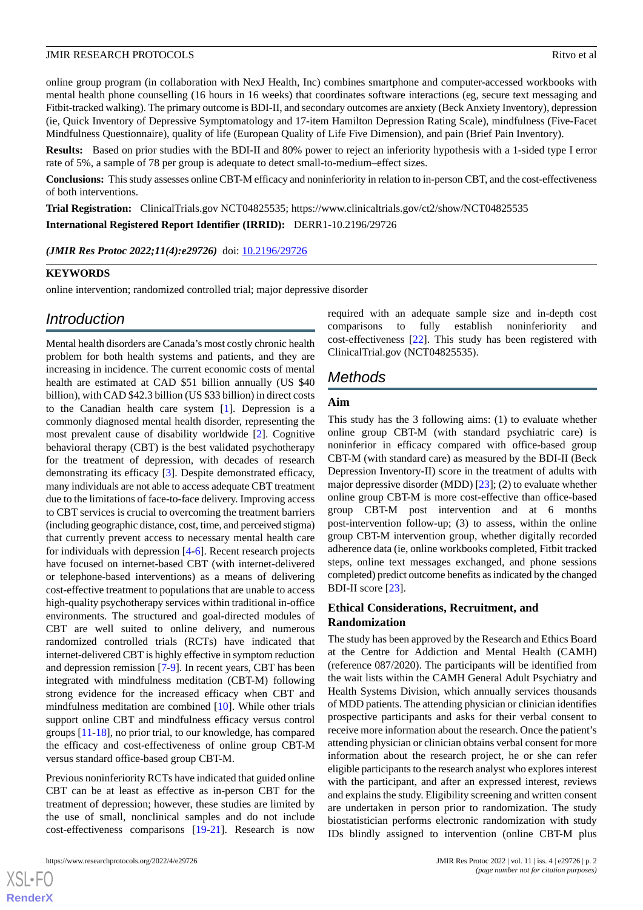online group program (in collaboration with NexJ Health, Inc) combines smartphone and computer-accessed workbooks with mental health phone counselling (16 hours in 16 weeks) that coordinates software interactions (eg, secure text messaging and Fitbit-tracked walking). The primary outcome is BDI-II, and secondary outcomes are anxiety (Beck Anxiety Inventory), depression (ie, Quick Inventory of Depressive Symptomatology and 17-item Hamilton Depression Rating Scale), mindfulness (Five-Facet Mindfulness Questionnaire), quality of life (European Quality of Life Five Dimension), and pain (Brief Pain Inventory).

**Results:** Based on prior studies with the BDI-II and 80% power to reject an inferiority hypothesis with a 1-sided type I error rate of 5%, a sample of 78 per group is adequate to detect small-to-medium–effect sizes.

**Conclusions:** This study assesses online CBT-M efficacy and noninferiority in relation to in-person CBT, and the cost-effectiveness of both interventions.

**Trial Registration:** ClinicalTrials.gov NCT04825535; https://www.clinicaltrials.gov/ct2/show/NCT04825535

**International Registered Report Identifier (IRRID):** DERR1-10.2196/29726

*(JMIR Res Protoc 2022;11(4):e29726)* doi: [10.2196/29726](http://dx.doi.org/10.2196/29726)

#### **KEYWORDS**

online intervention; randomized controlled trial; major depressive disorder

## *Introduction*

Mental health disorders are Canada's most costly chronic health problem for both health systems and patients, and they are increasing in incidence. The current economic costs of mental health are estimated at CAD \$51 billion annually (US \$40 billion), with CAD \$42.3 billion (US \$33 billion) in direct costs to the Canadian health care system [\[1](#page-5-0)]. Depression is a commonly diagnosed mental health disorder, representing the most prevalent cause of disability worldwide [[2\]](#page-5-1). Cognitive behavioral therapy (CBT) is the best validated psychotherapy for the treatment of depression, with decades of research demonstrating its efficacy [[3](#page-5-2)]. Despite demonstrated efficacy, many individuals are not able to access adequate CBT treatment due to the limitations of face-to-face delivery. Improving access to CBT services is crucial to overcoming the treatment barriers (including geographic distance, cost, time, and perceived stigma) that currently prevent access to necessary mental health care for individuals with depression [\[4](#page-5-3)-[6\]](#page-5-4). Recent research projects have focused on internet-based CBT (with internet-delivered or telephone-based interventions) as a means of delivering cost-effective treatment to populations that are unable to access high-quality psychotherapy services within traditional in-office environments. The structured and goal-directed modules of CBT are well suited to online delivery, and numerous randomized controlled trials (RCTs) have indicated that internet-delivered CBT is highly effective in symptom reduction and depression remission [\[7](#page-5-5)-[9\]](#page-5-6). In recent years, CBT has been integrated with mindfulness meditation (CBT-M) following strong evidence for the increased efficacy when CBT and mindfulness meditation are combined [[10\]](#page-5-7). While other trials support online CBT and mindfulness efficacy versus control groups [\[11](#page-5-8)-[18\]](#page-6-0), no prior trial, to our knowledge, has compared the efficacy and cost-effectiveness of online group CBT-M versus standard office-based group CBT-M.

Previous noninferiority RCTs have indicated that guided online CBT can be at least as effective as in-person CBT for the treatment of depression; however, these studies are limited by the use of small, nonclinical samples and do not include cost-effectiveness comparisons [\[19](#page-6-1)-[21\]](#page-6-2). Research is now required with an adequate sample size and in-depth cost comparisons to fully establish noninferiority and cost-effectiveness [\[22](#page-6-3)]. This study has been registered with ClinicalTrial.gov (NCT04825535).

## *Methods*

#### **Aim**

This study has the 3 following aims: (1) to evaluate whether online group CBT-M (with standard psychiatric care) is noninferior in efficacy compared with office-based group CBT-M (with standard care) as measured by the BDI-II (Beck Depression Inventory-II) score in the treatment of adults with major depressive disorder (MDD) [[23\]](#page-6-4); (2) to evaluate whether online group CBT-M is more cost-effective than office-based group CBT-M post intervention and at 6 months post-intervention follow-up; (3) to assess, within the online group CBT-M intervention group, whether digitally recorded adherence data (ie, online workbooks completed, Fitbit tracked steps, online text messages exchanged, and phone sessions completed) predict outcome benefits as indicated by the changed BDI-II score [\[23](#page-6-4)].

#### **Ethical Considerations, Recruitment, and Randomization**

The study has been approved by the Research and Ethics Board at the Centre for Addiction and Mental Health (CAMH) (reference 087/2020). The participants will be identified from the wait lists within the CAMH General Adult Psychiatry and Health Systems Division, which annually services thousands of MDD patients. The attending physician or clinician identifies prospective participants and asks for their verbal consent to receive more information about the research. Once the patient's attending physician or clinician obtains verbal consent for more information about the research project, he or she can refer eligible participants to the research analyst who explores interest with the participant, and after an expressed interest, reviews and explains the study. Eligibility screening and written consent are undertaken in person prior to randomization. The study biostatistician performs electronic randomization with study IDs blindly assigned to intervention (online CBT-M plus

 $XS$  • FO **[RenderX](http://www.renderx.com/)**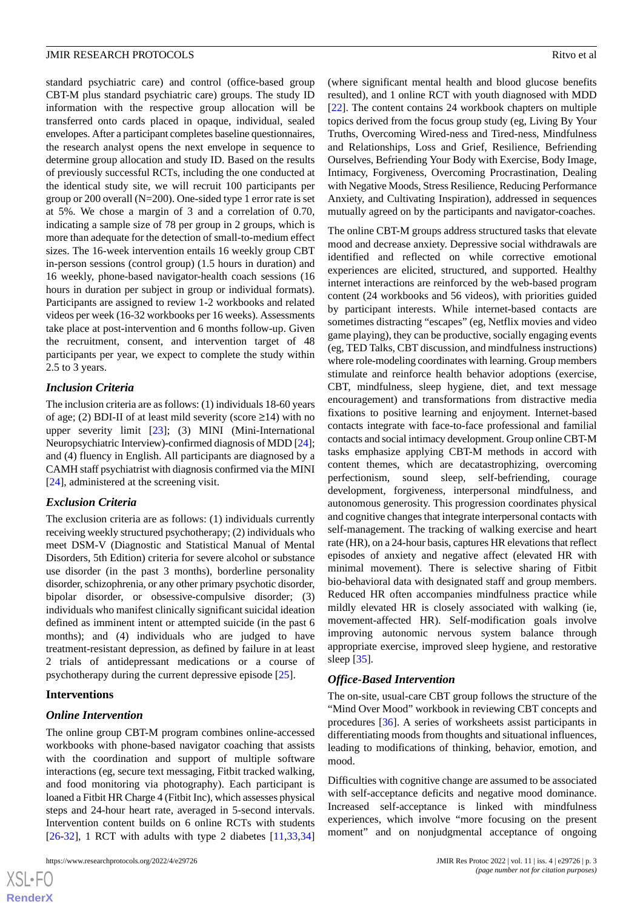standard psychiatric care) and control (office-based group CBT-M plus standard psychiatric care) groups. The study ID information with the respective group allocation will be transferred onto cards placed in opaque, individual, sealed envelopes. After a participant completes baseline questionnaires, the research analyst opens the next envelope in sequence to determine group allocation and study ID. Based on the results of previously successful RCTs, including the one conducted at the identical study site, we will recruit 100 participants per group or 200 overall (N=200). One-sided type 1 error rate is set at 5%. We chose a margin of 3 and a correlation of 0.70, indicating a sample size of 78 per group in 2 groups, which is more than adequate for the detection of small-to-medium effect sizes. The 16-week intervention entails 16 weekly group CBT in-person sessions (control group) (1.5 hours in duration) and 16 weekly, phone-based navigator-health coach sessions (16 hours in duration per subject in group or individual formats). Participants are assigned to review 1-2 workbooks and related videos per week (16-32 workbooks per 16 weeks). Assessments take place at post-intervention and 6 months follow-up. Given the recruitment, consent, and intervention target of 48 participants per year, we expect to complete the study within 2.5 to 3 years.

#### *Inclusion Criteria*

The inclusion criteria are as follows: (1) individuals 18-60 years of age; (2) BDI-II of at least mild severity (score  $\geq$ 14) with no upper severity limit [\[23](#page-6-4)]; (3) MINI (Mini-International Neuropsychiatric Interview)-confirmed diagnosis of MDD [[24\]](#page-6-5); and (4) fluency in English. All participants are diagnosed by a CAMH staff psychiatrist with diagnosis confirmed via the MINI [[24\]](#page-6-5), administered at the screening visit.

#### *Exclusion Criteria*

The exclusion criteria are as follows: (1) individuals currently receiving weekly structured psychotherapy; (2) individuals who meet DSM-V (Diagnostic and Statistical Manual of Mental Disorders, 5th Edition) criteria for severe alcohol or substance use disorder (in the past 3 months), borderline personality disorder, schizophrenia, or any other primary psychotic disorder, bipolar disorder, or obsessive-compulsive disorder; (3) individuals who manifest clinically significant suicidal ideation defined as imminent intent or attempted suicide (in the past 6 months); and (4) individuals who are judged to have treatment-resistant depression, as defined by failure in at least 2 trials of antidepressant medications or a course of psychotherapy during the current depressive episode [\[25](#page-6-6)].

#### **Interventions**

## *Online Intervention*

The online group CBT-M program combines online-accessed workbooks with phone-based navigator coaching that assists with the coordination and support of multiple software interactions (eg, secure text messaging, Fitbit tracked walking, and food monitoring via photography). Each participant is loaned a Fitbit HR Charge 4 (Fitbit Inc), which assesses physical steps and 24-hour heart rate, averaged in 5-second intervals. Intervention content builds on 6 online RCTs with students  $[26-32]$  $[26-32]$  $[26-32]$  $[26-32]$ , 1 RCT with adults with type 2 diabetes  $[11,33,34]$  $[11,33,34]$  $[11,33,34]$  $[11,33,34]$  $[11,33,34]$ 

(where significant mental health and blood glucose benefits resulted), and 1 online RCT with youth diagnosed with MDD [[22\]](#page-6-3). The content contains 24 workbook chapters on multiple topics derived from the focus group study (eg, Living By Your Truths, Overcoming Wired-ness and Tired-ness, Mindfulness and Relationships, Loss and Grief, Resilience, Befriending Ourselves, Befriending Your Body with Exercise, Body Image, Intimacy, Forgiveness, Overcoming Procrastination, Dealing with Negative Moods, Stress Resilience, Reducing Performance Anxiety, and Cultivating Inspiration), addressed in sequences mutually agreed on by the participants and navigator-coaches.

The online CBT-M groups address structured tasks that elevate mood and decrease anxiety. Depressive social withdrawals are identified and reflected on while corrective emotional experiences are elicited, structured, and supported. Healthy internet interactions are reinforced by the web-based program content (24 workbooks and 56 videos), with priorities guided by participant interests. While internet-based contacts are sometimes distracting "escapes" (eg, Netflix movies and video game playing), they can be productive, socially engaging events (eg, TED Talks, CBT discussion, and mindfulness instructions) where role-modeling coordinates with learning. Group members stimulate and reinforce health behavior adoptions (exercise, CBT, mindfulness, sleep hygiene, diet, and text message encouragement) and transformations from distractive media fixations to positive learning and enjoyment. Internet-based contacts integrate with face-to-face professional and familial contacts and social intimacy development. Group online CBT-M tasks emphasize applying CBT-M methods in accord with content themes, which are decatastrophizing, overcoming perfectionism, sound sleep, self-befriending, courage development, forgiveness, interpersonal mindfulness, and autonomous generosity. This progression coordinates physical and cognitive changes that integrate interpersonal contacts with self-management. The tracking of walking exercise and heart rate (HR), on a 24-hour basis, captures HR elevations that reflect episodes of anxiety and negative affect (elevated HR with minimal movement). There is selective sharing of Fitbit bio-behavioral data with designated staff and group members. Reduced HR often accompanies mindfulness practice while mildly elevated HR is closely associated with walking (ie, movement-affected HR). Self-modification goals involve improving autonomic nervous system balance through appropriate exercise, improved sleep hygiene, and restorative sleep [\[35](#page-7-0)].

## *Office-Based Intervention*

The on-site, usual-care CBT group follows the structure of the "Mind Over Mood" workbook in reviewing CBT concepts and procedures [\[36](#page-7-1)]. A series of worksheets assist participants in differentiating moods from thoughts and situational influences, leading to modifications of thinking, behavior, emotion, and mood.

Difficulties with cognitive change are assumed to be associated with self-acceptance deficits and negative mood dominance. Increased self-acceptance is linked with mindfulness experiences, which involve "more focusing on the present moment" and on nonjudgmental acceptance of ongoing

```
XSJ \cdot FRenderX
```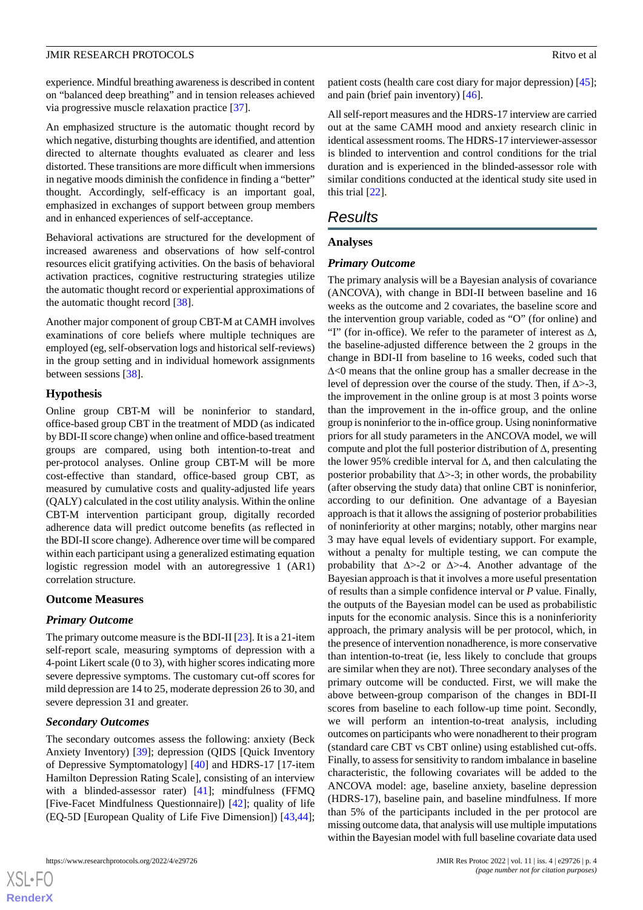experience. Mindful breathing awareness is described in content on "balanced deep breathing" and in tension releases achieved via progressive muscle relaxation practice [\[37](#page-7-2)].

An emphasized structure is the automatic thought record by which negative, disturbing thoughts are identified, and attention directed to alternate thoughts evaluated as clearer and less distorted. These transitions are more difficult when immersions in negative moods diminish the confidence in finding a "better" thought. Accordingly, self-efficacy is an important goal, emphasized in exchanges of support between group members and in enhanced experiences of self-acceptance.

Behavioral activations are structured for the development of increased awareness and observations of how self-control resources elicit gratifying activities. On the basis of behavioral activation practices, cognitive restructuring strategies utilize the automatic thought record or experiential approximations of the automatic thought record [[38\]](#page-7-3).

Another major component of group CBT-M at CAMH involves examinations of core beliefs where multiple techniques are employed (eg, self-observation logs and historical self-reviews) in the group setting and in individual homework assignments between sessions [[38\]](#page-7-3).

#### **Hypothesis**

Online group CBT-M will be noninferior to standard, office-based group CBT in the treatment of MDD (as indicated by BDI-II score change) when online and office-based treatment groups are compared, using both intention-to-treat and per-protocol analyses. Online group CBT-M will be more cost-effective than standard, office-based group CBT, as measured by cumulative costs and quality-adjusted life years (QALY) calculated in the cost utility analysis. Within the online CBT-M intervention participant group, digitally recorded adherence data will predict outcome benefits (as reflected in the BDI-II score change). Adherence over time will be compared within each participant using a generalized estimating equation logistic regression model with an autoregressive 1 (AR1) correlation structure.

#### **Outcome Measures**

#### *Primary Outcome*

The primary outcome measure is the BDI-II [\[23](#page-6-4)]. It is a 21-item self-report scale, measuring symptoms of depression with a 4-point Likert scale (0 to 3), with higher scores indicating more severe depressive symptoms. The customary cut-off scores for mild depression are 14 to 25, moderate depression 26 to 30, and severe depression 31 and greater.

#### *Secondary Outcomes*

The secondary outcomes assess the following: anxiety (Beck Anxiety Inventory) [\[39](#page-7-4)]; depression (QIDS [Quick Inventory of Depressive Symptomatology] [[40\]](#page-7-5) and HDRS-17 [17-item Hamilton Depression Rating Scale], consisting of an interview with a blinded-assessor rater) [[41\]](#page-7-6); mindfulness (FFMQ [Five-Facet Mindfulness Questionnaire]) [\[42](#page-7-7)]; quality of life (EQ-5D [European Quality of Life Five Dimension]) [\[43](#page-7-8),[44\]](#page-7-9);

 $XS$  $\cdot$ FC **[RenderX](http://www.renderx.com/)**

patient costs (health care cost diary for major depression) [[45\]](#page-7-10); and pain (brief pain inventory) [[46\]](#page-7-11).

All self-report measures and the HDRS-17 interview are carried out at the same CAMH mood and anxiety research clinic in identical assessment rooms. The HDRS-17 interviewer-assessor is blinded to intervention and control conditions for the trial duration and is experienced in the blinded-assessor role with similar conditions conducted at the identical study site used in this trial [\[22](#page-6-3)].

## *Results*

#### **Analyses**

#### *Primary Outcome*

The primary analysis will be a Bayesian analysis of covariance (ANCOVA), with change in BDI-II between baseline and 16 weeks as the outcome and 2 covariates, the baseline score and the intervention group variable, coded as "O" (for online) and "I" (for in-office). We refer to the parameter of interest as ∆, the baseline-adjusted difference between the 2 groups in the change in BDI-II from baseline to 16 weeks, coded such that ∆<0 means that the online group has a smaller decrease in the level of depression over the course of the study. Then, if  $\Delta$ >-3, the improvement in the online group is at most 3 points worse than the improvement in the in-office group, and the online group is noninferior to the in-office group. Using noninformative priors for all study parameters in the ANCOVA model, we will compute and plot the full posterior distribution of ∆, presenting the lower 95% credible interval for ∆, and then calculating the posterior probability that  $\Delta$ >-3; in other words, the probability (after observing the study data) that online CBT is noninferior, according to our definition. One advantage of a Bayesian approach is that it allows the assigning of posterior probabilities of noninferiority at other margins; notably, other margins near 3 may have equal levels of evidentiary support. For example, without a penalty for multiple testing, we can compute the probability that ∆>-2 or ∆>-4. Another advantage of the Bayesian approach is that it involves a more useful presentation of results than a simple confidence interval or *P* value. Finally, the outputs of the Bayesian model can be used as probabilistic inputs for the economic analysis. Since this is a noninferiority approach, the primary analysis will be per protocol, which, in the presence of intervention nonadherence, is more conservative than intention-to-treat (ie, less likely to conclude that groups are similar when they are not). Three secondary analyses of the primary outcome will be conducted. First, we will make the above between-group comparison of the changes in BDI-II scores from baseline to each follow-up time point. Secondly, we will perform an intention-to-treat analysis, including outcomes on participants who were nonadherent to their program (standard care CBT vs CBT online) using established cut-offs. Finally, to assess for sensitivity to random imbalance in baseline characteristic, the following covariates will be added to the ANCOVA model: age, baseline anxiety, baseline depression (HDRS-17), baseline pain, and baseline mindfulness. If more than 5% of the participants included in the per protocol are missing outcome data, that analysis will use multiple imputations within the Bayesian model with full baseline covariate data used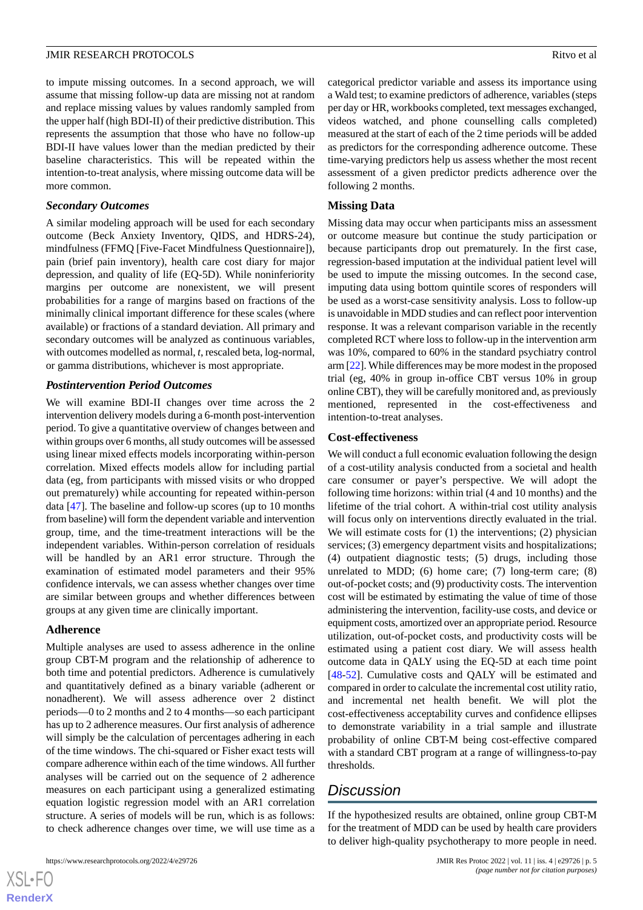to impute missing outcomes. In a second approach, we will assume that missing follow-up data are missing not at random and replace missing values by values randomly sampled from the upper half (high BDI-II) of their predictive distribution. This represents the assumption that those who have no follow-up BDI-II have values lower than the median predicted by their baseline characteristics. This will be repeated within the intention-to-treat analysis, where missing outcome data will be more common.

#### *Secondary Outcomes*

A similar modeling approach will be used for each secondary outcome (Beck Anxiety Inventory, QIDS, and HDRS-24), mindfulness (FFMQ [Five-Facet Mindfulness Questionnaire]), pain (brief pain inventory), health care cost diary for major depression, and quality of life (EQ-5D). While noninferiority margins per outcome are nonexistent, we will present probabilities for a range of margins based on fractions of the minimally clinical important difference for these scales (where available) or fractions of a standard deviation. All primary and secondary outcomes will be analyzed as continuous variables, with outcomes modelled as normal, *t*, rescaled beta, log-normal, or gamma distributions, whichever is most appropriate.

#### *Postintervention Period Outcomes*

We will examine BDI-II changes over time across the 2 intervention delivery models during a 6-month post-intervention period. To give a quantitative overview of changes between and within groups over 6 months, all study outcomes will be assessed using linear mixed effects models incorporating within-person correlation. Mixed effects models allow for including partial data (eg, from participants with missed visits or who dropped out prematurely) while accounting for repeated within-person data [\[47](#page-7-12)]. The baseline and follow-up scores (up to 10 months from baseline) will form the dependent variable and intervention group, time, and the time-treatment interactions will be the independent variables. Within-person correlation of residuals will be handled by an AR1 error structure. Through the examination of estimated model parameters and their 95% confidence intervals, we can assess whether changes over time are similar between groups and whether differences between groups at any given time are clinically important.

#### **Adherence**

 $XS$  $\cdot$ FC **[RenderX](http://www.renderx.com/)**

Multiple analyses are used to assess adherence in the online group CBT-M program and the relationship of adherence to both time and potential predictors. Adherence is cumulatively and quantitatively defined as a binary variable (adherent or nonadherent). We will assess adherence over 2 distinct periods—0 to 2 months and 2 to 4 months—so each participant has up to 2 adherence measures. Our first analysis of adherence will simply be the calculation of percentages adhering in each of the time windows. The chi-squared or Fisher exact tests will compare adherence within each of the time windows. All further analyses will be carried out on the sequence of 2 adherence measures on each participant using a generalized estimating equation logistic regression model with an AR1 correlation structure. A series of models will be run, which is as follows: to check adherence changes over time, we will use time as a

categorical predictor variable and assess its importance using a Wald test; to examine predictors of adherence, variables (steps per day or HR, workbooks completed, text messages exchanged, videos watched, and phone counselling calls completed) measured at the start of each of the 2 time periods will be added as predictors for the corresponding adherence outcome. These time-varying predictors help us assess whether the most recent assessment of a given predictor predicts adherence over the following 2 months.

#### **Missing Data**

Missing data may occur when participants miss an assessment or outcome measure but continue the study participation or because participants drop out prematurely. In the first case, regression-based imputation at the individual patient level will be used to impute the missing outcomes. In the second case, imputing data using bottom quintile scores of responders will be used as a worst-case sensitivity analysis. Loss to follow-up is unavoidable in MDD studies and can reflect poor intervention response. It was a relevant comparison variable in the recently completed RCT where loss to follow-up in the intervention arm was 10%, compared to 60% in the standard psychiatry control arm [\[22\]](#page-6-3). While differences may be more modest in the proposed trial (eg, 40% in group in-office CBT versus 10% in group online CBT), they will be carefully monitored and, as previously mentioned, represented in the cost-effectiveness and intention-to-treat analyses.

#### **Cost-effectiveness**

We will conduct a full economic evaluation following the design of a cost-utility analysis conducted from a societal and health care consumer or payer's perspective. We will adopt the following time horizons: within trial (4 and 10 months) and the lifetime of the trial cohort. A within-trial cost utility analysis will focus only on interventions directly evaluated in the trial. We will estimate costs for  $(1)$  the interventions;  $(2)$  physician services; (3) emergency department visits and hospitalizations; (4) outpatient diagnostic tests; (5) drugs, including those unrelated to MDD;  $(6)$  home care;  $(7)$  long-term care;  $(8)$ out-of-pocket costs; and (9) productivity costs. The intervention cost will be estimated by estimating the value of time of those administering the intervention, facility-use costs, and device or equipment costs, amortized over an appropriate period. Resource utilization, out-of-pocket costs, and productivity costs will be estimated using a patient cost diary. We will assess health outcome data in QALY using the EQ-5D at each time point [[48](#page-7-13)[-52](#page-7-14)]. Cumulative costs and QALY will be estimated and compared in order to calculate the incremental cost utility ratio, and incremental net health benefit. We will plot the cost-effectiveness acceptability curves and confidence ellipses to demonstrate variability in a trial sample and illustrate probability of online CBT-M being cost-effective compared with a standard CBT program at a range of willingness-to-pay thresholds.

## *Discussion*

If the hypothesized results are obtained, online group CBT-M for the treatment of MDD can be used by health care providers to deliver high-quality psychotherapy to more people in need.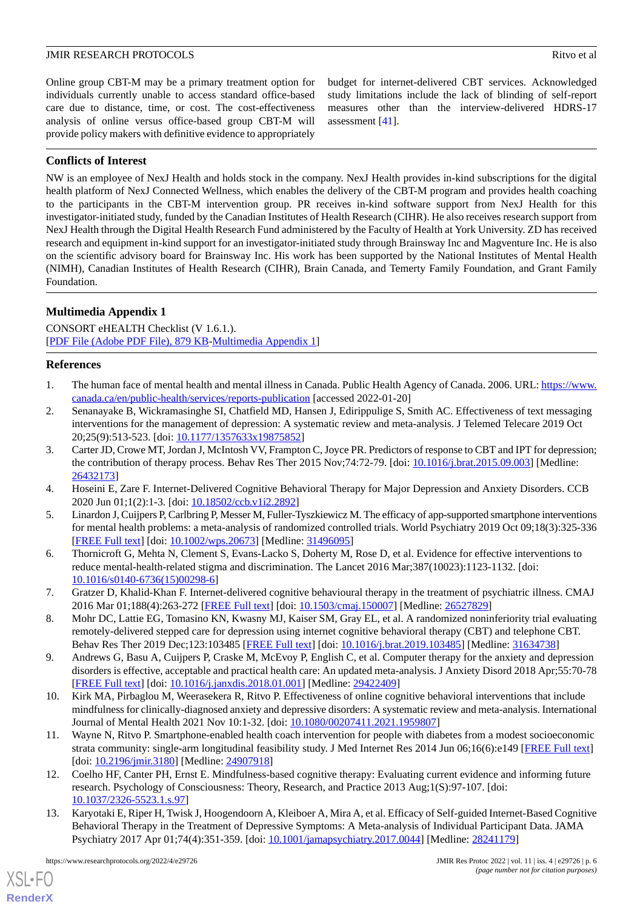Online group CBT-M may be a primary treatment option for individuals currently unable to access standard office-based care due to distance, time, or cost. The cost-effectiveness analysis of online versus office-based group CBT-M will provide policy makers with definitive evidence to appropriately

budget for internet-delivered CBT services. Acknowledged study limitations include the lack of blinding of self-report measures other than the interview-delivered HDRS-17 assessment [[41\]](#page-7-6).

## **Conflicts of Interest**

NW is an employee of NexJ Health and holds stock in the company. NexJ Health provides in-kind subscriptions for the digital health platform of NexJ Connected Wellness, which enables the delivery of the CBT-M program and provides health coaching to the participants in the CBT-M intervention group. PR receives in-kind software support from NexJ Health for this investigator-initiated study, funded by the Canadian Institutes of Health Research (CIHR). He also receives research support from NexJ Health through the Digital Health Research Fund administered by the Faculty of Health at York University. ZD has received research and equipment in-kind support for an investigator-initiated study through Brainsway Inc and Magventure Inc. He is also on the scientific advisory board for Brainsway Inc. His work has been supported by the National Institutes of Mental Health (NIMH), Canadian Institutes of Health Research (CIHR), Brain Canada, and Temerty Family Foundation, and Grant Family Foundation.

## **Multimedia Appendix 1**

CONSORT eHEALTH Checklist (V 1.6.1.). [[PDF File \(Adobe PDF File\), 879 KB](https://jmir.org/api/download?alt_name=resprot_v11i4e29726_app1.pdf&filename=63a20010e50049c013ad4c5bdbd21fa0.pdf)-[Multimedia Appendix 1\]](https://jmir.org/api/download?alt_name=resprot_v11i4e29726_app1.pdf&filename=63a20010e50049c013ad4c5bdbd21fa0.pdf)

#### <span id="page-5-1"></span><span id="page-5-0"></span>**References**

- 1. The human face of mental health and mental illness in Canada. Public Health Agency of Canada. 2006. URL: [https://www.](https://www.canada.ca/en/public-health/services/reports-publication) [canada.ca/en/public-health/services/reports-publication](https://www.canada.ca/en/public-health/services/reports-publication) [accessed 2022-01-20]
- <span id="page-5-2"></span>2. Senanayake B, Wickramasinghe SI, Chatfield MD, Hansen J, Edirippulige S, Smith AC. Effectiveness of text messaging interventions for the management of depression: A systematic review and meta-analysis. J Telemed Telecare 2019 Oct 20;25(9):513-523. [doi: [10.1177/1357633x19875852\]](http://dx.doi.org/10.1177/1357633x19875852)
- <span id="page-5-3"></span>3. Carter JD, Crowe MT, Jordan J, McIntosh VV, Frampton C, Joyce PR. Predictors of response to CBT and IPT for depression; the contribution of therapy process. Behav Res Ther 2015 Nov;74:72-79. [doi: [10.1016/j.brat.2015.09.003\]](http://dx.doi.org/10.1016/j.brat.2015.09.003) [Medline: [26432173](http://www.ncbi.nlm.nih.gov/entrez/query.fcgi?cmd=Retrieve&db=PubMed&list_uids=26432173&dopt=Abstract)]
- <span id="page-5-4"></span>4. Hoseini E, Zare F. Internet-Delivered Cognitive Behavioral Therapy for Major Depression and Anxiety Disorders. CCB 2020 Jun 01;1(2):1-3. [doi: [10.18502/ccb.v1i2.2892\]](http://dx.doi.org/10.18502/ccb.v1i2.2892)
- <span id="page-5-5"></span>5. Linardon J, Cuijpers P, Carlbring P, Messer M, Fuller-Tyszkiewicz M. The efficacy of app-supported smartphone interventions for mental health problems: a meta-analysis of randomized controlled trials. World Psychiatry 2019 Oct 09;18(3):325-336 [[FREE Full text](https://doi.org/10.1002/wps.20673)] [doi: [10.1002/wps.20673](http://dx.doi.org/10.1002/wps.20673)] [Medline: [31496095](http://www.ncbi.nlm.nih.gov/entrez/query.fcgi?cmd=Retrieve&db=PubMed&list_uids=31496095&dopt=Abstract)]
- 6. Thornicroft G, Mehta N, Clement S, Evans-Lacko S, Doherty M, Rose D, et al. Evidence for effective interventions to reduce mental-health-related stigma and discrimination. The Lancet 2016 Mar;387(10023):1123-1132. [doi: [10.1016/s0140-6736\(15\)00298-6](http://dx.doi.org/10.1016/s0140-6736(15)00298-6)]
- <span id="page-5-6"></span>7. Gratzer D, Khalid-Khan F. Internet-delivered cognitive behavioural therapy in the treatment of psychiatric illness. CMAJ 2016 Mar 01;188(4):263-272 [[FREE Full text\]](http://www.cmaj.ca/cgi/pmidlookup?view=long&pmid=26527829) [doi: [10.1503/cmaj.150007](http://dx.doi.org/10.1503/cmaj.150007)] [Medline: [26527829](http://www.ncbi.nlm.nih.gov/entrez/query.fcgi?cmd=Retrieve&db=PubMed&list_uids=26527829&dopt=Abstract)]
- <span id="page-5-7"></span>8. Mohr DC, Lattie EG, Tomasino KN, Kwasny MJ, Kaiser SM, Gray EL, et al. A randomized noninferiority trial evaluating remotely-delivered stepped care for depression using internet cognitive behavioral therapy (CBT) and telephone CBT. Behav Res Ther 2019 Dec;123:103485 [\[FREE Full text\]](http://europepmc.org/abstract/MED/31634738) [doi: [10.1016/j.brat.2019.103485\]](http://dx.doi.org/10.1016/j.brat.2019.103485) [Medline: [31634738\]](http://www.ncbi.nlm.nih.gov/entrez/query.fcgi?cmd=Retrieve&db=PubMed&list_uids=31634738&dopt=Abstract)
- <span id="page-5-8"></span>9. Andrews G, Basu A, Cuijpers P, Craske M, McEvoy P, English C, et al. Computer therapy for the anxiety and depression disorders is effective, acceptable and practical health care: An updated meta-analysis. J Anxiety Disord 2018 Apr;55:70-78 [[FREE Full text](https://linkinghub.elsevier.com/retrieve/pii/S0887-6185(17)30447-4)] [doi: [10.1016/j.janxdis.2018.01.001](http://dx.doi.org/10.1016/j.janxdis.2018.01.001)] [Medline: [29422409](http://www.ncbi.nlm.nih.gov/entrez/query.fcgi?cmd=Retrieve&db=PubMed&list_uids=29422409&dopt=Abstract)]
- 10. Kirk MA, Pirbaglou M, Weerasekera R, Ritvo P. Effectiveness of online cognitive behavioral interventions that include mindfulness for clinically-diagnosed anxiety and depressive disorders: A systematic review and meta-analysis. International Journal of Mental Health 2021 Nov 10:1-32. [doi: [10.1080/00207411.2021.1959807](http://dx.doi.org/10.1080/00207411.2021.1959807)]
- 11. Wayne N, Ritvo P. Smartphone-enabled health coach intervention for people with diabetes from a modest socioeconomic strata community: single-arm longitudinal feasibility study. J Med Internet Res 2014 Jun 06;16(6):e149 [[FREE Full text](https://www.jmir.org/2014/6/e149/)] [doi: [10.2196/jmir.3180\]](http://dx.doi.org/10.2196/jmir.3180) [Medline: [24907918\]](http://www.ncbi.nlm.nih.gov/entrez/query.fcgi?cmd=Retrieve&db=PubMed&list_uids=24907918&dopt=Abstract)
- 12. Coelho HF, Canter PH, Ernst E. Mindfulness-based cognitive therapy: Evaluating current evidence and informing future research. Psychology of Consciousness: Theory, Research, and Practice 2013 Aug;1(S):97-107. [doi: [10.1037/2326-5523.1.s.97\]](http://dx.doi.org/10.1037/2326-5523.1.s.97)
- 13. Karyotaki E, Riper H, Twisk J, Hoogendoorn A, Kleiboer A, Mira A, et al. Efficacy of Self-guided Internet-Based Cognitive Behavioral Therapy in the Treatment of Depressive Symptoms: A Meta-analysis of Individual Participant Data. JAMA Psychiatry 2017 Apr 01;74(4):351-359. [doi: [10.1001/jamapsychiatry.2017.0044\]](http://dx.doi.org/10.1001/jamapsychiatry.2017.0044) [Medline: [28241179](http://www.ncbi.nlm.nih.gov/entrez/query.fcgi?cmd=Retrieve&db=PubMed&list_uids=28241179&dopt=Abstract)]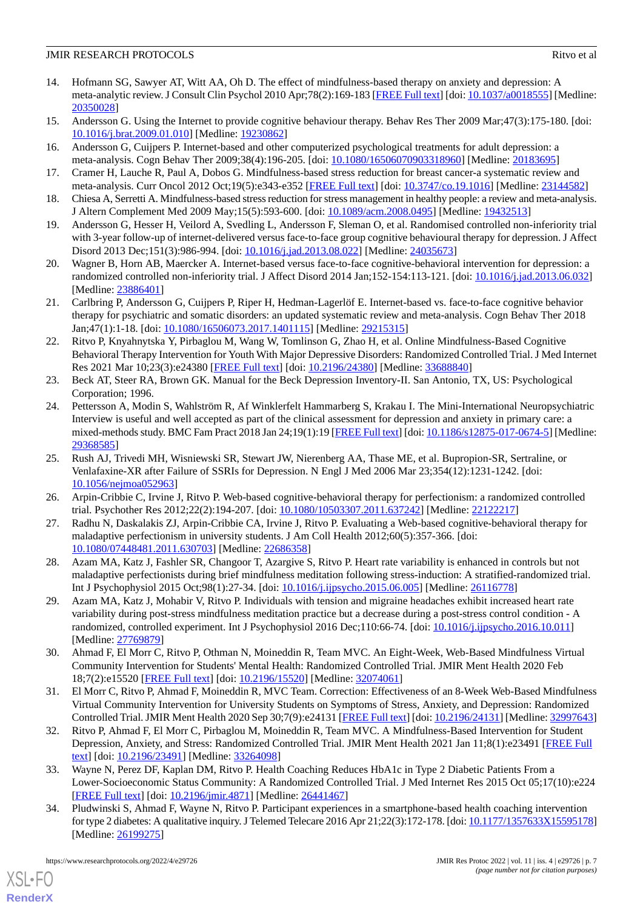- 14. Hofmann SG, Sawyer AT, Witt AA, Oh D. The effect of mindfulness-based therapy on anxiety and depression: A meta-analytic review. J Consult Clin Psychol 2010 Apr;78(2):169-183 [\[FREE Full text](http://europepmc.org/abstract/MED/20350028)] [doi: [10.1037/a0018555](http://dx.doi.org/10.1037/a0018555)] [Medline: [20350028](http://www.ncbi.nlm.nih.gov/entrez/query.fcgi?cmd=Retrieve&db=PubMed&list_uids=20350028&dopt=Abstract)]
- 15. Andersson G. Using the Internet to provide cognitive behaviour therapy. Behav Res Ther 2009 Mar;47(3):175-180. [doi: [10.1016/j.brat.2009.01.010](http://dx.doi.org/10.1016/j.brat.2009.01.010)] [Medline: [19230862\]](http://www.ncbi.nlm.nih.gov/entrez/query.fcgi?cmd=Retrieve&db=PubMed&list_uids=19230862&dopt=Abstract)
- 16. Andersson G, Cuijpers P. Internet-based and other computerized psychological treatments for adult depression: a meta-analysis. Cogn Behav Ther 2009;38(4):196-205. [doi: [10.1080/16506070903318960](http://dx.doi.org/10.1080/16506070903318960)] [Medline: [20183695\]](http://www.ncbi.nlm.nih.gov/entrez/query.fcgi?cmd=Retrieve&db=PubMed&list_uids=20183695&dopt=Abstract)
- <span id="page-6-0"></span>17. Cramer H, Lauche R, Paul A, Dobos G. Mindfulness-based stress reduction for breast cancer-a systematic review and meta-analysis. Curr Oncol 2012 Oct;19(5):e343-e352 [\[FREE Full text\]](https://www.mdpi.com/resolver?pii=conc-19-e343) [doi: [10.3747/co.19.1016\]](http://dx.doi.org/10.3747/co.19.1016) [Medline: [23144582\]](http://www.ncbi.nlm.nih.gov/entrez/query.fcgi?cmd=Retrieve&db=PubMed&list_uids=23144582&dopt=Abstract)
- <span id="page-6-1"></span>18. Chiesa A, Serretti A. Mindfulness-based stress reduction for stress management in healthy people: a review and meta-analysis. J Altern Complement Med 2009 May;15(5):593-600. [doi: [10.1089/acm.2008.0495\]](http://dx.doi.org/10.1089/acm.2008.0495) [Medline: [19432513](http://www.ncbi.nlm.nih.gov/entrez/query.fcgi?cmd=Retrieve&db=PubMed&list_uids=19432513&dopt=Abstract)]
- 19. Andersson G, Hesser H, Veilord A, Svedling L, Andersson F, Sleman O, et al. Randomised controlled non-inferiority trial with 3-year follow-up of internet-delivered versus face-to-face group cognitive behavioural therapy for depression. J Affect Disord 2013 Dec;151(3):986-994. [doi: [10.1016/j.jad.2013.08.022](http://dx.doi.org/10.1016/j.jad.2013.08.022)] [Medline: [24035673\]](http://www.ncbi.nlm.nih.gov/entrez/query.fcgi?cmd=Retrieve&db=PubMed&list_uids=24035673&dopt=Abstract)
- <span id="page-6-2"></span>20. Wagner B, Horn AB, Maercker A. Internet-based versus face-to-face cognitive-behavioral intervention for depression: a randomized controlled non-inferiority trial. J Affect Disord 2014 Jan;152-154:113-121. [doi: [10.1016/j.jad.2013.06.032](http://dx.doi.org/10.1016/j.jad.2013.06.032)] [Medline: [23886401](http://www.ncbi.nlm.nih.gov/entrez/query.fcgi?cmd=Retrieve&db=PubMed&list_uids=23886401&dopt=Abstract)]
- <span id="page-6-3"></span>21. Carlbring P, Andersson G, Cuijpers P, Riper H, Hedman-Lagerlöf E. Internet-based vs. face-to-face cognitive behavior therapy for psychiatric and somatic disorders: an updated systematic review and meta-analysis. Cogn Behav Ther 2018 Jan;47(1):1-18. [doi: [10.1080/16506073.2017.1401115](http://dx.doi.org/10.1080/16506073.2017.1401115)] [Medline: [29215315\]](http://www.ncbi.nlm.nih.gov/entrez/query.fcgi?cmd=Retrieve&db=PubMed&list_uids=29215315&dopt=Abstract)
- <span id="page-6-4"></span>22. Ritvo P, Knyahnytska Y, Pirbaglou M, Wang W, Tomlinson G, Zhao H, et al. Online Mindfulness-Based Cognitive Behavioral Therapy Intervention for Youth With Major Depressive Disorders: Randomized Controlled Trial. J Med Internet Res 2021 Mar 10;23(3):e24380 [\[FREE Full text\]](https://www.jmir.org/2021/3/e24380/) [doi: [10.2196/24380](http://dx.doi.org/10.2196/24380)] [Medline: [33688840\]](http://www.ncbi.nlm.nih.gov/entrez/query.fcgi?cmd=Retrieve&db=PubMed&list_uids=33688840&dopt=Abstract)
- <span id="page-6-5"></span>23. Beck AT, Steer RA, Brown GK. Manual for the Beck Depression Inventory-II. San Antonio, TX, US: Psychological Corporation; 1996.
- <span id="page-6-6"></span>24. Pettersson A, Modin S, Wahlström R, Af Winklerfelt Hammarberg S, Krakau I. The Mini-International Neuropsychiatric Interview is useful and well accepted as part of the clinical assessment for depression and anxiety in primary care: a mixed-methods study. BMC Fam Pract 2018 Jan 24;19(1):19 [\[FREE Full text](https://bmcfampract.biomedcentral.com/articles/10.1186/s12875-017-0674-5)] [doi: [10.1186/s12875-017-0674-5](http://dx.doi.org/10.1186/s12875-017-0674-5)] [Medline: [29368585](http://www.ncbi.nlm.nih.gov/entrez/query.fcgi?cmd=Retrieve&db=PubMed&list_uids=29368585&dopt=Abstract)]
- <span id="page-6-7"></span>25. Rush AJ, Trivedi MH, Wisniewski SR, Stewart JW, Nierenberg AA, Thase ME, et al. Bupropion-SR, Sertraline, or Venlafaxine-XR after Failure of SSRIs for Depression. N Engl J Med 2006 Mar 23;354(12):1231-1242. [doi: [10.1056/nejmoa052963](http://dx.doi.org/10.1056/nejmoa052963)]
- 26. Arpin-Cribbie C, Irvine J, Ritvo P. Web-based cognitive-behavioral therapy for perfectionism: a randomized controlled trial. Psychother Res 2012;22(2):194-207. [doi: [10.1080/10503307.2011.637242](http://dx.doi.org/10.1080/10503307.2011.637242)] [Medline: [22122217](http://www.ncbi.nlm.nih.gov/entrez/query.fcgi?cmd=Retrieve&db=PubMed&list_uids=22122217&dopt=Abstract)]
- 27. Radhu N, Daskalakis ZJ, Arpin-Cribbie CA, Irvine J, Ritvo P. Evaluating a Web-based cognitive-behavioral therapy for maladaptive perfectionism in university students. J Am Coll Health 2012;60(5):357-366. [doi: [10.1080/07448481.2011.630703\]](http://dx.doi.org/10.1080/07448481.2011.630703) [Medline: [22686358\]](http://www.ncbi.nlm.nih.gov/entrez/query.fcgi?cmd=Retrieve&db=PubMed&list_uids=22686358&dopt=Abstract)
- 28. Azam MA, Katz J, Fashler SR, Changoor T, Azargive S, Ritvo P. Heart rate variability is enhanced in controls but not maladaptive perfectionists during brief mindfulness meditation following stress-induction: A stratified-randomized trial. Int J Psychophysiol 2015 Oct;98(1):27-34. [doi: [10.1016/j.ijpsycho.2015.06.005](http://dx.doi.org/10.1016/j.ijpsycho.2015.06.005)] [Medline: [26116778\]](http://www.ncbi.nlm.nih.gov/entrez/query.fcgi?cmd=Retrieve&db=PubMed&list_uids=26116778&dopt=Abstract)
- 29. Azam MA, Katz J, Mohabir V, Ritvo P. Individuals with tension and migraine headaches exhibit increased heart rate variability during post-stress mindfulness meditation practice but a decrease during a post-stress control condition - A randomized, controlled experiment. Int J Psychophysiol 2016 Dec;110:66-74. [doi: [10.1016/j.ijpsycho.2016.10.011](http://dx.doi.org/10.1016/j.ijpsycho.2016.10.011)] [Medline: [27769879](http://www.ncbi.nlm.nih.gov/entrez/query.fcgi?cmd=Retrieve&db=PubMed&list_uids=27769879&dopt=Abstract)]
- <span id="page-6-8"></span>30. Ahmad F, El Morr C, Ritvo P, Othman N, Moineddin R, Team MVC. An Eight-Week, Web-Based Mindfulness Virtual Community Intervention for Students' Mental Health: Randomized Controlled Trial. JMIR Ment Health 2020 Feb 18;7(2):e15520 [\[FREE Full text](https://mental.jmir.org/2020/2/e15520/)] [doi: [10.2196/15520\]](http://dx.doi.org/10.2196/15520) [Medline: [32074061\]](http://www.ncbi.nlm.nih.gov/entrez/query.fcgi?cmd=Retrieve&db=PubMed&list_uids=32074061&dopt=Abstract)
- <span id="page-6-9"></span>31. El Morr C, Ritvo P, Ahmad F, Moineddin R, MVC Team. Correction: Effectiveness of an 8-Week Web-Based Mindfulness Virtual Community Intervention for University Students on Symptoms of Stress, Anxiety, and Depression: Randomized Controlled Trial. JMIR Ment Health 2020 Sep 30;7(9):e24131 [\[FREE Full text](https://mental.jmir.org/2020/9/e24131/)] [doi: [10.2196/24131\]](http://dx.doi.org/10.2196/24131) [Medline: [32997643](http://www.ncbi.nlm.nih.gov/entrez/query.fcgi?cmd=Retrieve&db=PubMed&list_uids=32997643&dopt=Abstract)]
- <span id="page-6-10"></span>32. Ritvo P, Ahmad F, El Morr C, Pirbaglou M, Moineddin R, Team MVC. A Mindfulness-Based Intervention for Student Depression, Anxiety, and Stress: Randomized Controlled Trial. JMIR Ment Health 2021 Jan 11;8(1):e23491 [[FREE Full](https://mental.jmir.org/2021/1/e23491/) [text](https://mental.jmir.org/2021/1/e23491/)] [doi: [10.2196/23491\]](http://dx.doi.org/10.2196/23491) [Medline: [33264098\]](http://www.ncbi.nlm.nih.gov/entrez/query.fcgi?cmd=Retrieve&db=PubMed&list_uids=33264098&dopt=Abstract)
- 33. Wayne N, Perez DF, Kaplan DM, Ritvo P. Health Coaching Reduces HbA1c in Type 2 Diabetic Patients From a Lower-Socioeconomic Status Community: A Randomized Controlled Trial. J Med Internet Res 2015 Oct 05;17(10):e224 [[FREE Full text](https://www.jmir.org/2015/10/e224/)] [doi: [10.2196/jmir.4871](http://dx.doi.org/10.2196/jmir.4871)] [Medline: [26441467](http://www.ncbi.nlm.nih.gov/entrez/query.fcgi?cmd=Retrieve&db=PubMed&list_uids=26441467&dopt=Abstract)]
- 34. Pludwinski S, Ahmad F, Wayne N, Ritvo P. Participant experiences in a smartphone-based health coaching intervention for type 2 diabetes: A qualitative inquiry. J Telemed Telecare 2016 Apr 21;22(3):172-178. [doi: [10.1177/1357633X15595178\]](http://dx.doi.org/10.1177/1357633X15595178) [Medline: [26199275](http://www.ncbi.nlm.nih.gov/entrez/query.fcgi?cmd=Retrieve&db=PubMed&list_uids=26199275&dopt=Abstract)]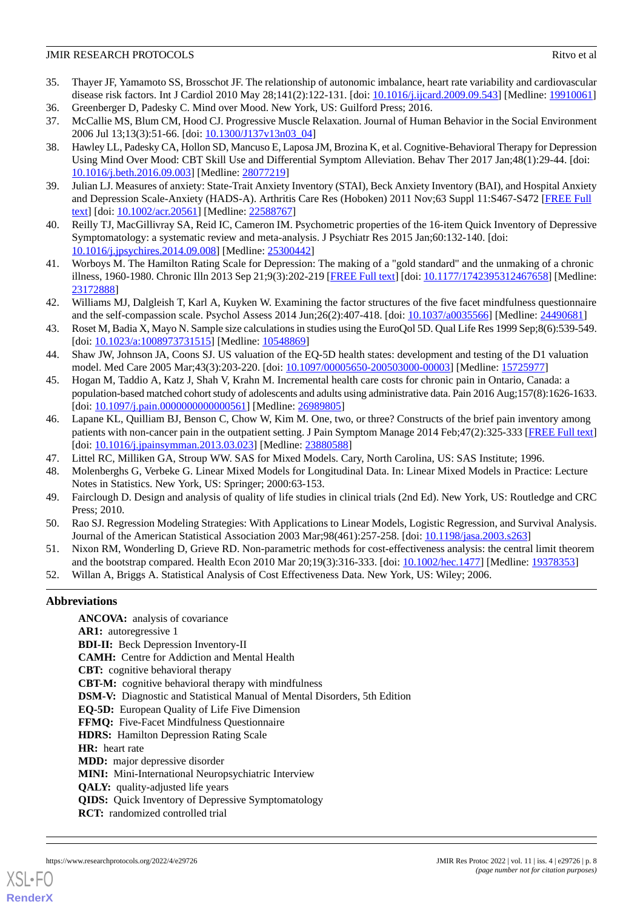- <span id="page-7-0"></span>35. Thayer JF, Yamamoto SS, Brosschot JF. The relationship of autonomic imbalance, heart rate variability and cardiovascular disease risk factors. Int J Cardiol 2010 May 28;141(2):122-131. [doi: [10.1016/j.ijcard.2009.09.543](http://dx.doi.org/10.1016/j.ijcard.2009.09.543)] [Medline: [19910061\]](http://www.ncbi.nlm.nih.gov/entrez/query.fcgi?cmd=Retrieve&db=PubMed&list_uids=19910061&dopt=Abstract)
- <span id="page-7-2"></span><span id="page-7-1"></span>36. Greenberger D, Padesky C. Mind over Mood. New York, US: Guilford Press; 2016. 37. McCallie MS, Blum CM, Hood CJ. Progressive Muscle Relaxation. Journal of Human Behavior in the Social Environment
- <span id="page-7-3"></span>2006 Jul 13;13(3):51-66. [doi: [10.1300/J137v13n03\\_04](http://dx.doi.org/10.1300/J137v13n03_04)] 38. Hawley LL, Padesky CA, Hollon SD, Mancuso E, Laposa JM, Brozina K, et al. Cognitive-Behavioral Therapy for Depression Using Mind Over Mood: CBT Skill Use and Differential Symptom Alleviation. Behav Ther 2017 Jan;48(1):29-44. [doi: [10.1016/j.beth.2016.09.003\]](http://dx.doi.org/10.1016/j.beth.2016.09.003) [Medline: [28077219\]](http://www.ncbi.nlm.nih.gov/entrez/query.fcgi?cmd=Retrieve&db=PubMed&list_uids=28077219&dopt=Abstract)
- <span id="page-7-5"></span><span id="page-7-4"></span>39. Julian LJ. Measures of anxiety: State-Trait Anxiety Inventory (STAI), Beck Anxiety Inventory (BAI), and Hospital Anxiety and Depression Scale-Anxiety (HADS-A). Arthritis Care Res (Hoboken) 2011 Nov;63 Suppl 11:S467-S472 [[FREE Full](https://doi.org/10.1002/acr.20561) [text](https://doi.org/10.1002/acr.20561)] [doi: [10.1002/acr.20561](http://dx.doi.org/10.1002/acr.20561)] [Medline: [22588767\]](http://www.ncbi.nlm.nih.gov/entrez/query.fcgi?cmd=Retrieve&db=PubMed&list_uids=22588767&dopt=Abstract)
- <span id="page-7-6"></span>40. Reilly TJ, MacGillivray SA, Reid IC, Cameron IM. Psychometric properties of the 16-item Quick Inventory of Depressive Symptomatology: a systematic review and meta-analysis. J Psychiatr Res 2015 Jan;60:132-140. [doi: [10.1016/j.jpsychires.2014.09.008](http://dx.doi.org/10.1016/j.jpsychires.2014.09.008)] [Medline: [25300442\]](http://www.ncbi.nlm.nih.gov/entrez/query.fcgi?cmd=Retrieve&db=PubMed&list_uids=25300442&dopt=Abstract)
- <span id="page-7-7"></span>41. Worboys M. The Hamilton Rating Scale for Depression: The making of a "gold standard" and the unmaking of a chronic illness, 1960-1980. Chronic Illn 2013 Sep 21;9(3):202-219 [[FREE Full text\]](https://journals.sagepub.com/doi/10.1177/1742395312467658?url_ver=Z39.88-2003&rfr_id=ori:rid:crossref.org&rfr_dat=cr_pub%3dpubmed) [doi: [10.1177/1742395312467658\]](http://dx.doi.org/10.1177/1742395312467658) [Medline: [23172888](http://www.ncbi.nlm.nih.gov/entrez/query.fcgi?cmd=Retrieve&db=PubMed&list_uids=23172888&dopt=Abstract)]
- <span id="page-7-8"></span>42. Williams MJ, Dalgleish T, Karl A, Kuyken W. Examining the factor structures of the five facet mindfulness questionnaire and the self-compassion scale. Psychol Assess 2014 Jun;26(2):407-418. [doi: [10.1037/a0035566\]](http://dx.doi.org/10.1037/a0035566) [Medline: [24490681](http://www.ncbi.nlm.nih.gov/entrez/query.fcgi?cmd=Retrieve&db=PubMed&list_uids=24490681&dopt=Abstract)]
- <span id="page-7-9"></span>43. Roset M, Badia X, Mayo N. Sample size calculations in studies using the EuroQol 5D. Qual Life Res 1999 Sep;8(6):539-549. [doi: [10.1023/a:1008973731515](http://dx.doi.org/10.1023/a:1008973731515)] [Medline: [10548869](http://www.ncbi.nlm.nih.gov/entrez/query.fcgi?cmd=Retrieve&db=PubMed&list_uids=10548869&dopt=Abstract)]
- <span id="page-7-10"></span>44. Shaw JW, Johnson JA, Coons SJ. US valuation of the EQ-5D health states: development and testing of the D1 valuation model. Med Care 2005 Mar;43(3):203-220. [doi: [10.1097/00005650-200503000-00003\]](http://dx.doi.org/10.1097/00005650-200503000-00003) [Medline: [15725977](http://www.ncbi.nlm.nih.gov/entrez/query.fcgi?cmd=Retrieve&db=PubMed&list_uids=15725977&dopt=Abstract)]
- <span id="page-7-11"></span>45. Hogan M, Taddio A, Katz J, Shah V, Krahn M. Incremental health care costs for chronic pain in Ontario, Canada: a population-based matched cohort study of adolescents and adults using administrative data. Pain 2016 Aug;157(8):1626-1633. [doi: [10.1097/j.pain.0000000000000561](http://dx.doi.org/10.1097/j.pain.0000000000000561)] [Medline: [26989805\]](http://www.ncbi.nlm.nih.gov/entrez/query.fcgi?cmd=Retrieve&db=PubMed&list_uids=26989805&dopt=Abstract)
- <span id="page-7-13"></span><span id="page-7-12"></span>46. Lapane KL, Quilliam BJ, Benson C, Chow W, Kim M. One, two, or three? Constructs of the brief pain inventory among patients with non-cancer pain in the outpatient setting. J Pain Symptom Manage 2014 Feb;47(2):325-333 [[FREE Full text](https://linkinghub.elsevier.com/retrieve/pii/S0885-3924(13)00316-3)] [doi: [10.1016/j.jpainsymman.2013.03.023\]](http://dx.doi.org/10.1016/j.jpainsymman.2013.03.023) [Medline: [23880588\]](http://www.ncbi.nlm.nih.gov/entrez/query.fcgi?cmd=Retrieve&db=PubMed&list_uids=23880588&dopt=Abstract)
- 47. Littel RC, Milliken GA, Stroup WW. SAS for Mixed Models. Cary, North Carolina, US: SAS Institute; 1996.
- 48. Molenberghs G, Verbeke G. Linear Mixed Models for Longitudinal Data. In: Linear Mixed Models in Practice: Lecture Notes in Statistics. New York, US: Springer; 2000:63-153.
- 49. Fairclough D. Design and analysis of quality of life studies in clinical trials (2nd Ed). New York, US: Routledge and CRC Press; 2010.
- <span id="page-7-14"></span>50. Rao SJ. Regression Modeling Strategies: With Applications to Linear Models, Logistic Regression, and Survival Analysis. Journal of the American Statistical Association 2003 Mar;98(461):257-258. [doi: [10.1198/jasa.2003.s263](http://dx.doi.org/10.1198/jasa.2003.s263)]
- 51. Nixon RM, Wonderling D, Grieve RD. Non-parametric methods for cost-effectiveness analysis: the central limit theorem and the bootstrap compared. Health Econ 2010 Mar 20;19(3):316-333. [doi: [10.1002/hec.1477\]](http://dx.doi.org/10.1002/hec.1477) [Medline: [19378353\]](http://www.ncbi.nlm.nih.gov/entrez/query.fcgi?cmd=Retrieve&db=PubMed&list_uids=19378353&dopt=Abstract)
- 52. Willan A, Briggs A. Statistical Analysis of Cost Effectiveness Data. New York, US: Wiley; 2006.

## **Abbreviations**

**ANCOVA:** analysis of covariance **AR1:** autoregressive 1 **BDI-II:** Beck Depression Inventory-II **CAMH:** Centre for Addiction and Mental Health **CBT:** cognitive behavioral therapy **CBT-M:** cognitive behavioral therapy with mindfulness **DSM-V:** Diagnostic and Statistical Manual of Mental Disorders, 5th Edition **EQ-5D:** European Quality of Life Five Dimension **FFMQ:** Five-Facet Mindfulness Questionnaire **HDRS:** Hamilton Depression Rating Scale **HR:** heart rate **MDD:** major depressive disorder **MINI:** Mini-International Neuropsychiatric Interview **QALY:** quality-adjusted life years **QIDS:** Quick Inventory of Depressive Symptomatology **RCT:** randomized controlled trial